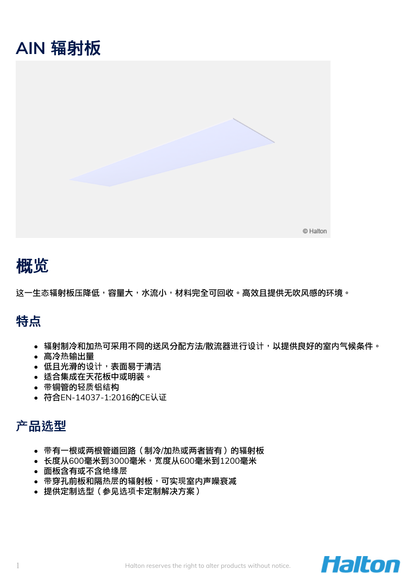## **AIN** 辐射板



## 概览

这一生态辐射板压降低,容量大,水流小,材料完全可回收。高效且提供无吹风感的环境。

## 特点

- 辐射制冷和加热可采用不同的送风分配方法/散流器进行设计,以提供良好的室内气候条件。
- 高冷热输出量
- 低且光滑的设计,表面易于清洁
- 适合集成在天花板中或明装。
- 带铜管的轻质铝结构
- 符合EN-14037-1:2016的CE认证

## 产品选型

- 带有一根或两根管道回路(制冷/加热或两者皆有)的辐射板
- 长度从600毫米到3000毫米,宽度从600毫米到1200毫米
- 面板含有或不含绝缘层
- 带穿孔前板和隔热层的辐射板,可实现室内声噪衰减
- 提供定制选型(参见选项卡定制解决方案)

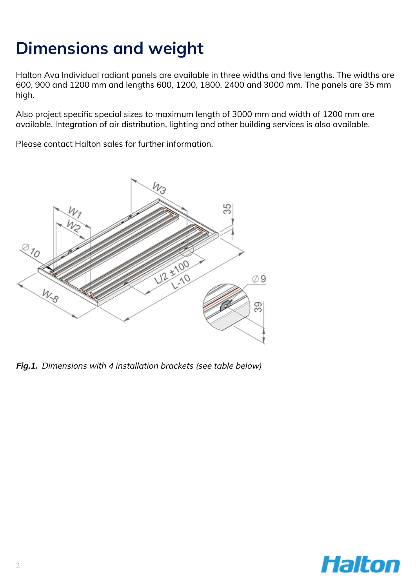# **Dimensions and weight**

Halton Ava Individual radiant panels are available in three widths and five lengths. The widths are 600, 900 and 1200 mm and lengths 600, 1200, 1800, 2400 and 3000 mm. The panels are 35 mm high.

Also project specific special sizes to maximum length of 3000 mm and width of 1200 mm are available. Integration of air distribution, lighting and other building services is also available.

Please contact Halton sales for further information.



**Fig.1.** Dimensions with 4 installation brackets (see table below)

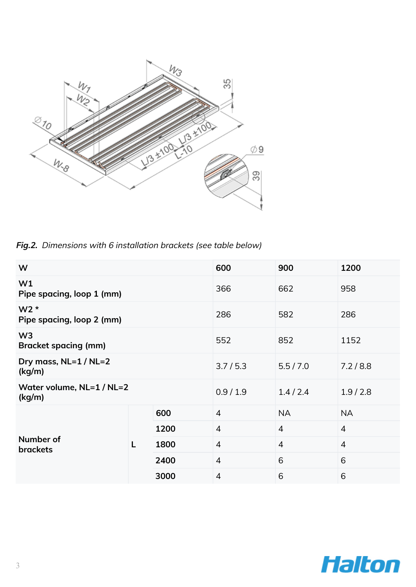

**Fig.2.** Dimensions with 6 installation brackets (see table below)

| W                                             |   |      | 600            | 900            | 1200           |
|-----------------------------------------------|---|------|----------------|----------------|----------------|
| W1<br>Pipe spacing, loop 1 (mm)               |   |      | 366            | 662            | 958            |
| $W2*$<br>Pipe spacing, loop 2 (mm)            |   |      | 286            | 582            | 286            |
| W <sub>3</sub><br><b>Bracket spacing (mm)</b> |   |      | 552            | 852            | 1152           |
| Dry mass, NL=1 / NL=2<br>(kg/m)               |   |      | 3.7/5.3        | 5.5 / 7.0      | 7.2 / 8.8      |
| Water volume, NL=1 / NL=2<br>(kg/m)           |   |      | 0.9/1.9        | 1.4/2.4        | 1.9/2.8        |
| Number of<br>brackets                         | L | 600  | $\overline{4}$ | <b>NA</b>      | <b>NA</b>      |
|                                               |   | 1200 | $\overline{4}$ | $\overline{4}$ | $\overline{4}$ |
|                                               |   | 1800 | $\overline{4}$ | $\overline{4}$ | $\overline{4}$ |
|                                               |   | 2400 | $\overline{4}$ | 6              | 6              |
|                                               |   | 3000 | $\overline{4}$ | 6              | 6              |

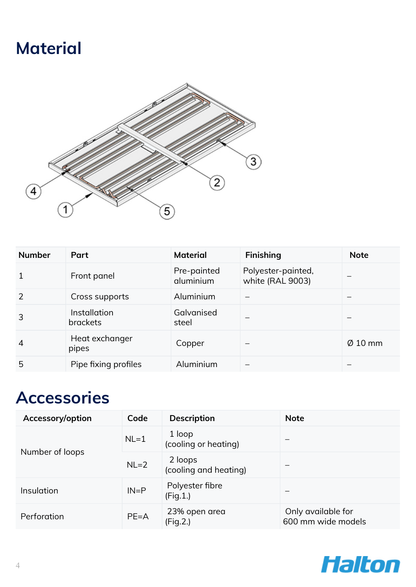## **Material**



| <b>Number</b>  | Part                            | <b>Material</b>          | <b>Finishing</b>                       | <b>Note</b>         |
|----------------|---------------------------------|--------------------------|----------------------------------------|---------------------|
| $\mathbf{1}$   | Front panel                     | Pre-painted<br>aluminium | Polyester-painted,<br>white (RAL 9003) |                     |
| $\overline{2}$ | Cross supports                  | Aluminium                |                                        |                     |
| 3              | Installation<br><b>brackets</b> | Galvanised<br>steel      |                                        |                     |
| $\overline{4}$ | Heat exchanger<br>pipes         | Copper                   |                                        | $\varnothing$ 10 mm |
| 5              | Pipe fixing profiles            | Aluminium                |                                        |                     |

## **Accessories**

| Accessory/option | Code                                       | <b>Description</b>             | <b>Note</b>                              |
|------------------|--------------------------------------------|--------------------------------|------------------------------------------|
|                  | $NL=1$                                     | 1 loop<br>(cooling or heating) |                                          |
| Number of loops  | 2 loops<br>$NL=2$<br>(cooling and heating) |                                |                                          |
| Insulation       | $IN = P$                                   | Polyester fibre<br>(Fig.1.)    |                                          |
| Perforation      | $PE=A$                                     | 23% open area<br>(Fig.2.)      | Only available for<br>600 mm wide models |

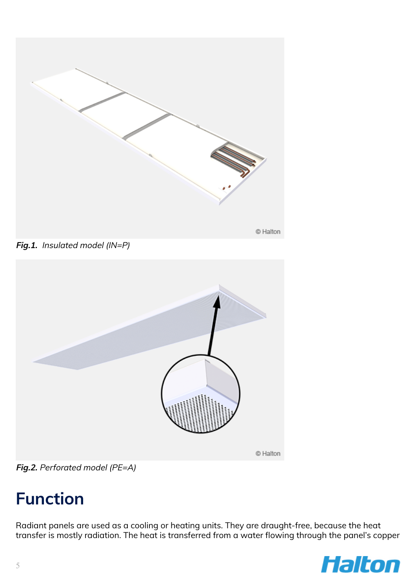

**Fig.1.** Insulated model (IN=P)



**Fig.2.** Perforated model (PE=A)

# **Function**

Radiant panels are used as a cooling or heating units. They are draught-free, because the heat transfer is mostly radiation. The heat is transferred from a water flowing through the panel's copper

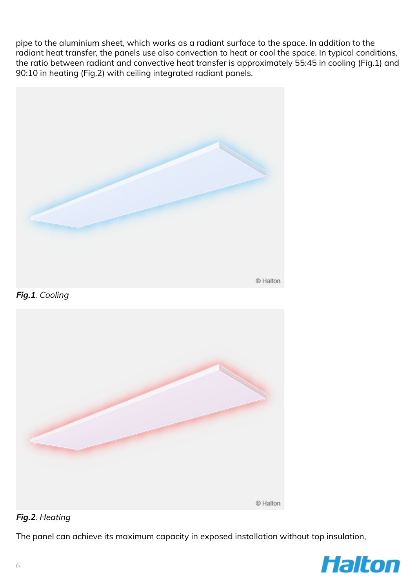pipe to the aluminium sheet, which works as a radiant surface to the space. In addition to the radiant heat transfer, the panels use also convection to heat or cool the space. In typical conditions, the ratio between radiant and convective heat transfer is approximately 55:45 in cooling (Fig.1) and 90:10 in heating (Fig.2) with ceiling integrated radiant panels.



#### **Fig.2**. Heating

The panel can achieve its maximum capacity in exposed installation without top insulation,

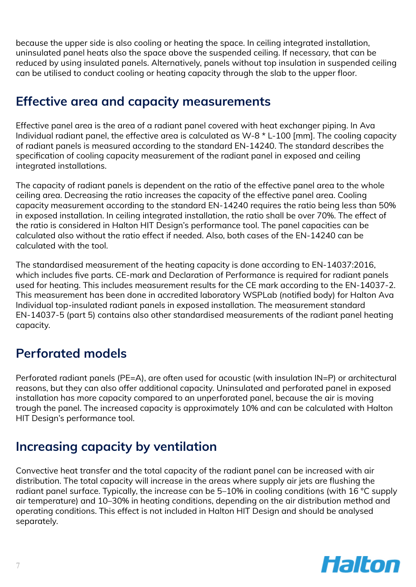because the upper side is also cooling or heating the space. In ceiling integrated installation, uninsulated panel heats also the space above the suspended ceiling. If necessary, that can be reduced by using insulated panels. Alternatively, panels without top insulation in suspended ceiling can be utilised to conduct cooling or heating capacity through the slab to the upper floor.

### **Effective area and capacity measurements**

Effective panel area is the area of a radiant panel covered with heat exchanger piping. In Ava Individual radiant panel, the effective area is calculated as W-8 \* L-100 [mm]. The cooling capacity of radiant panels is measured according to the standard EN-14240. The standard describes the specification of cooling capacity measurement of the radiant panel in exposed and ceiling integrated installations.

The capacity of radiant panels is dependent on the ratio of the effective panel area to the whole ceiling area. Decreasing the ratio increases the capacity of the effective panel area. Cooling capacity measurement according to the standard EN-14240 requires the ratio being less than 50% in exposed installation. In ceiling integrated installation, the ratio shall be over 70%. The effect of the ratio is considered in Halton HIT Design's performance tool. The panel capacities can be calculated also without the ratio effect if needed. Also, both cases of the EN-14240 can be calculated with the tool.

The standardised measurement of the heating capacity is done according to EN-14037:2016, which includes five parts. CE-mark and Declaration of Performance is required for radiant panels used for heating. This includes measurement results for the CE mark according to the EN-14037-2. This measurement has been done in accredited laboratory WSPLab (notified body) for Halton Ava Individual top-insulated radiant panels in exposed installation. The measurement standard EN-14037-5 (part 5) contains also other standardised measurements of the radiant panel heating capacity.

## **Perforated models**

Perforated radiant panels (PE=A), are often used for acoustic (with insulation IN=P) or architectural reasons, but they can also offer additional capacity. Uninsulated and perforated panel in exposed installation has more capacity compared to an unperforated panel, because the air is moving trough the panel. The increased capacity is approximately 10% and can be calculated with Halton HIT Design's performance tool.

## **Increasing capacity by ventilation**

Convective heat transfer and the total capacity of the radiant panel can be increased with air distribution. The total capacity will increase in the areas where supply air jets are flushing the radiant panel surface. Typically, the increase can be 5–10% in cooling conditions (with 16 °C supply air temperature) and 10–30% in heating conditions, depending on the air distribution method and operating conditions. This effect is not included in Halton HIT Design and should be analysed separately.

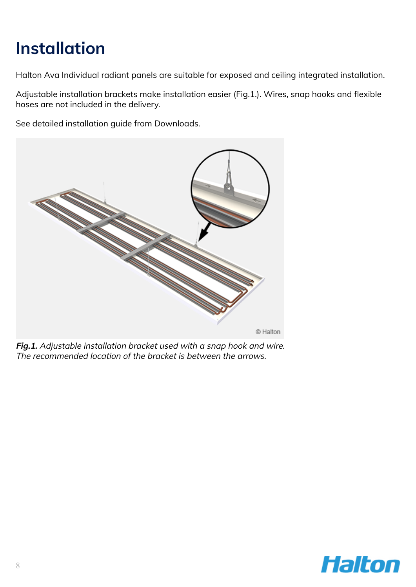# **Installation**

Halton Ava Individual radiant panels are suitable for exposed and ceiling integrated installation.

Adjustable installation brackets make installation easier (Fig.1.). Wires, snap hooks and flexible hoses are not included in the delivery.

See detailed installation guide from Downloads.



**Fig.1.** Adjustable installation bracket used with a snap hook and wire. The recommended location of the bracket is between the arrows.

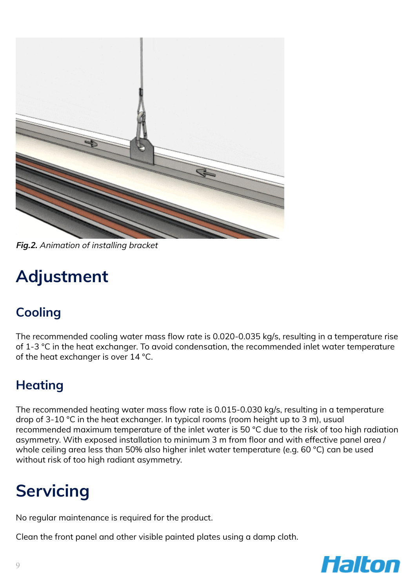

**Fig.2.** Animation of installing bracket

# **Adjustment**

## **Cooling**

The recommended cooling water mass flow rate is 0.020-0.035 kg/s, resulting in a temperature rise of 1-3 °C in the heat exchanger. To avoid condensation, the recommended inlet water temperature of the heat exchanger is over 14 °C.

## **Heating**

The recommended heating water mass flow rate is 0.015-0.030 kg/s, resulting in a temperature drop of 3-10 °C in the heat exchanger. In typical rooms (room height up to 3 m), usual recommended maximum temperature of the inlet water is 50 °C due to the risk of too high radiation asymmetry. With exposed installation to minimum 3 m from floor and with effective panel area / whole ceiling area less than 50% also higher inlet water temperature (e.g. 60 °C) can be used without risk of too high radiant asymmetry.

# **Servicing**

No regular maintenance is required for the product.

Clean the front panel and other visible painted plates using a damp cloth.

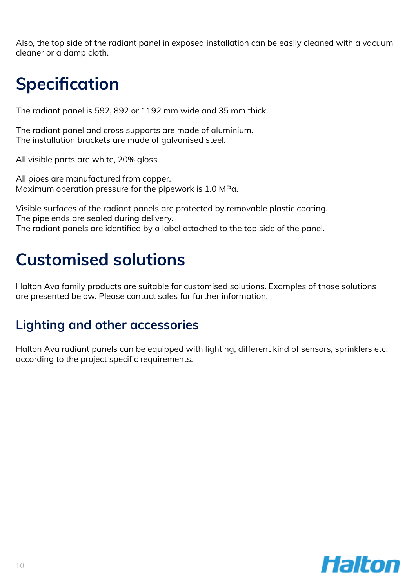Also, the top side of the radiant panel in exposed installation can be easily cleaned with a vacuum cleaner or a damp cloth.

# **Specification**

The radiant panel is 592, 892 or 1192 mm wide and 35 mm thick.

The radiant panel and cross supports are made of aluminium. The installation brackets are made of galvanised steel.

All visible parts are white, 20% gloss.

All pipes are manufactured from copper. Maximum operation pressure for the pipework is 1.0 MPa.

Visible surfaces of the radiant panels are protected by removable plastic coating. The pipe ends are sealed during delivery. The radiant panels are identified by a label attached to the top side of the panel.

## **Customised solutions**

Halton Ava family products are suitable for customised solutions. Examples of those solutions are presented below. Please contact sales for further information.

## **Lighting and other accessories**

Halton Ava radiant panels can be equipped with lighting, different kind of sensors, sprinklers etc. according to the project specific requirements.

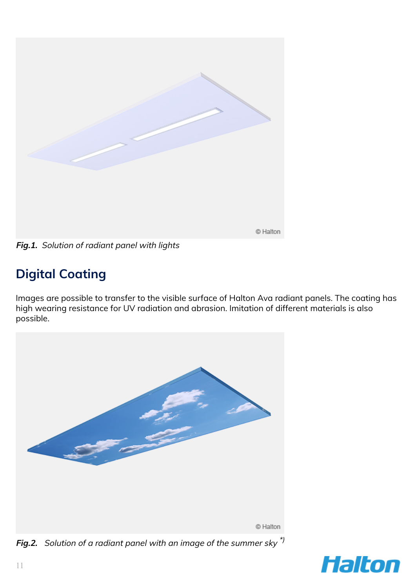

**Fig.1.** Solution of radiant panel with lights

## **Digital Coating**

Images are possible to transfer to the visible surface of Halton Ava radiant panels. The coating has high wearing resistance for UV radiation and abrasion. Imitation of different materials is also possible.



**Fig.2.** Solution of a radiant panel with an image of the summer sky \*)

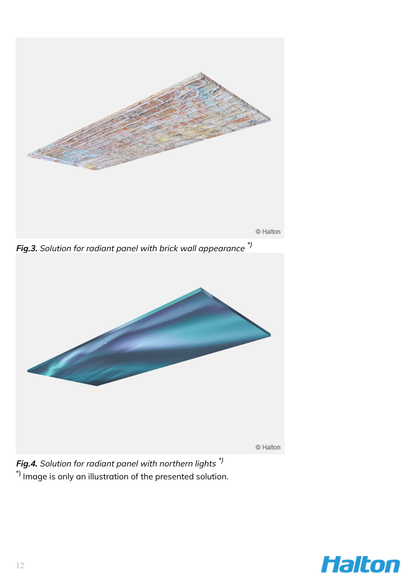

**Fig.4.** Solution for radiant panel with northern lights \*)  $^\star$ ) Image is only an illustration of the presented solution.